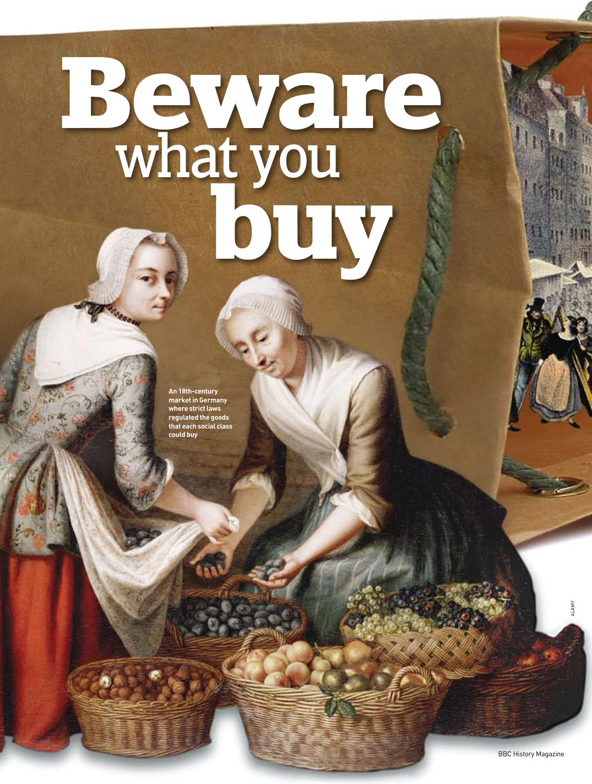# **Beware** what you **buy**

**An 18th-century market in Germany where strict laws regulated the goods that each social class could buy**

28

ALAMY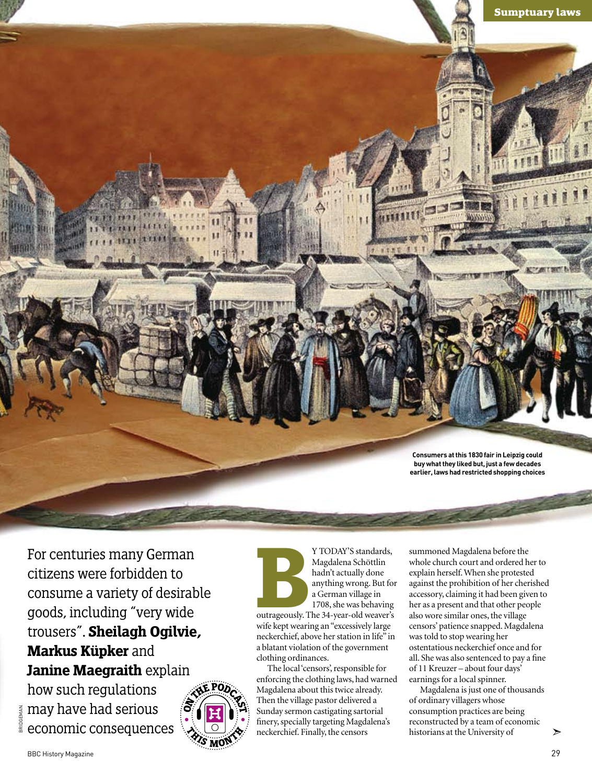

For centuries many German citizens were forbidden to consume a variety of desirable goods, including "very wide trousers". **Sheilagh Ogilvie, Markus Küpker** and **Janine Maegraith** explain

how such regulations te may have had serious<br>a economic consequenc economic consequences



**Burneyer Standards, Magdalena Schöttlin**<br>
hadn't actually done<br>
anything wrong. But for<br>
a German village in<br>
1708, she was behaving<br>
outrageously. The 34-year-old weaver's Magdalena Schöttlin hadn't actually done anything wrong. But for a German village in 1708, she was behaving

wife kept wearing an "excessively large neckerchief, above her station in life" in a blatant violation of the government clothing ordinances.

The local 'censors', responsible for enforcing the clothing laws, had warned Magdalena about this twice already. Then the village pastor delivered a Sunday sermon castigating sartorial finery, specially targeting Magdalena's neckerchief. Finally, the censors

summoned Magdalena before the whole church court and ordered her to explain herself. When she protested against the prohibition of her cherished accessory, claiming it had been given to her as a present and that other people also wore similar ones, the village censors' patience snapped. Magdalena was told to stop wearing her ostentatious neckerchief once and for all. She was also sentenced to pay a fine of 11 Kreuzer – about four days' earnings for a local spinner.

Magdalena is just one of thousands of ordinary villagers whose consumption practices are being reconstructed by a team of economic historians at the University of

BRIDGEMAN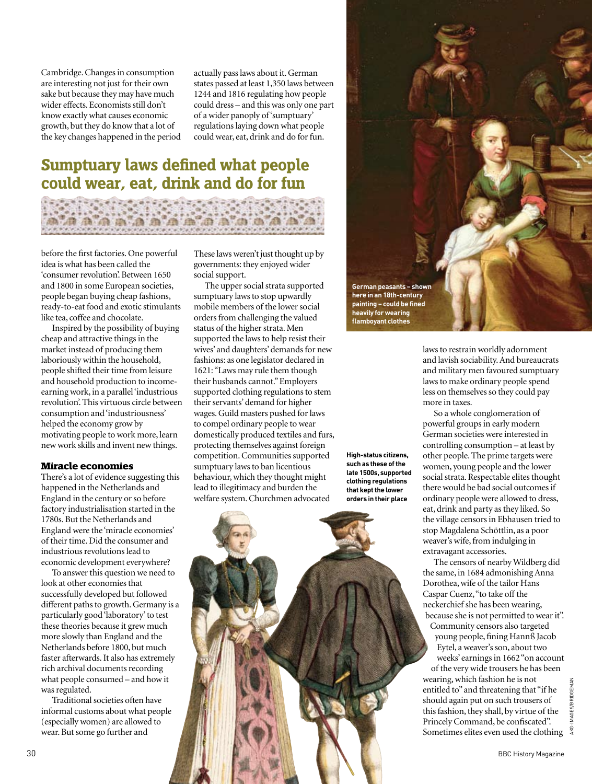Cambridge. Changes in consumption are interesting not just for their own sake but because they may have much wider effects. Economists still don't know exactly what causes economic growth, but they do know that a lot of the key changes happened in the period actually pass laws about it. German states passed at least 1,350 laws between 1244 and 1816 regulating how people could dress – and this was only one part of a wider panoply of 'sumptuary' regulations laying down what people could wear, eat, drink and do for fun.

# **Sumptuary laws defined what people could wear, eat, drink and do for fun**



before the first factories. One powerful idea is what has been called the 'consumer revolution'. Between 1650 and 1800 in some European societies, people began buying cheap fashions, ready-to-eat food and exotic stimulants like tea, coffee and chocolate.

Inspired by the possibility of buying cheap and attractive things in the market instead of producing them laboriously within the household, people shifted their time from leisure and household production to incomeearning work, in a parallel 'industrious revolution'. This virtuous circle between consumption and 'industriousness' helped the economy grow by motivating people to work more, learn new work skills and invent new things.

### **Miracle economies**

There's a lot of evidence suggesting this happened in the Netherlands and England in the century or so before factory industrialisation started in the 1780s. But the Netherlands and England were the 'miracle economies' of their time. Did the consumer and industrious revolutions lead to economic development everywhere?

To answer this question we need to look at other economies that successfully developed but followed different paths to growth. Germany is a particularly good 'laboratory' to test these theories because it grew much more slowly than England and the Netherlands before 1800, but much faster afterwards. It also has extremely rich archival documents recording what people consumed – and how it was regulated.

Traditional societies often have informal customs about what people (especially women) are allowed to wear. But some go further and

These laws weren't just thought up by governments: they enjoyed wider social support.

The upper social strata supported sumptuary laws to stop upwardly mobile members of the lower social orders from challenging the valued status of the higher strata. Men supported the laws to help resist their wives' and daughters' demands for new fashions: as one legislator declared in 1621: "Laws may rule them though their husbands cannot." Employers supported clothing regulations to stem their servants' demand for higher wages. Guild masters pushed for laws to compel ordinary people to wear domestically produced textiles and furs, protecting themselves against foreign competition. Communities supported sumptuary laws to ban licentious behaviour, which they thought might lead to illegitimacy and burden the welfare system. Churchmen advocated

**High-status citizens, such as these of the late 1500s, supported clothing regulations that kept the lower orders in their place**





laws to restrain worldly adornment and lavish sociability. And bureaucrats and military men favoured sumptuary laws to make ordinary people spend less on themselves so they could pay more in taxes.

So a whole conglomeration of powerful groups in early modern German societies were interested in controlling consumption – at least by other people. The prime targets were women, young people and the lower social strata. Respectable elites thought there would be bad social outcomes if ordinary people were allowed to dress, eat, drink and party as they liked. So the village censors in Ebhausen tried to stop Magdalena Schöttlin, as a poor weaver's wife, from indulging in extravagant accessories.

The censors of nearby Wildberg did the same, in 1684 admonishing Anna Dorothea, wife of the tailor Hans Caspar Cuenz, "to take off the neckerchief she has been wearing, because she is not permitted to wear it". Community censors also targeted young people, fining Hannß Jacob Eytel, a weaver's son, about two weeks' earnings in 1662 "on account of the very wide trousers he has been

wearing, which fashion he is not entitled to" and threatening that "if he should again put on such trousers of this fashion, they shall, by virtue of the Princely Command, be confiscated". Sometimes elites even used the clothing